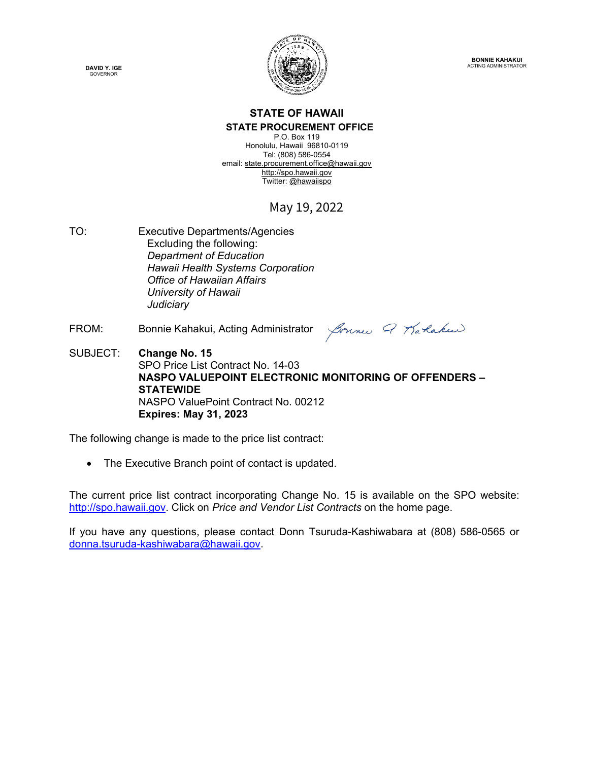



#### **STATE OF HAWAII STATE PROCUREMENT OFFICE**

P.O. Box 119 Honolulu, Hawaii 96810-0119 Tel: (808) 586-0554 email[: state.procurement.office@hawaii.gov](mailto:state.procurement.office@hawaii.gov)  [http://spo.hawaii.gov](http://spo.hawaii.gov/)  Twitter: [@hawaiispo](https://twitter.com/hawaiispo) 

### May 19, 2022

- TO: Executive Departments/Agencies Excluding the following: *Department of Education Hawaii Health Systems Corporation Office of Hawaiian Affairs University of Hawaii Judiciary*
- FROM: Bonnie Kahakui, Acting Administrator

Sonne Q Karlakeer

SUBJECT: **Change No. 15**  SPO Price List Contract No. 14-03 **NASPO VALUEPOINT ELECTRONIC MONITORING OF OFFENDERS – STATEWIDE**  NASPO ValuePoint Contract No. 00212 **Expires: May 31, 2023** 

The following change is made to the price list contract:

• The Executive Branch point of contact is updated.

The current price list contract incorporating Change No. 15 is available on the SPO website: [http://spo.hawaii.gov.](http://spo.hawaii.gov/) Click on *Price and Vendor List Contracts* on the home page.

If you have any questions, please contact Donn Tsuruda-Kashiwabara at (808) 586-0565 or [donna.tsuruda-kashiwabara@hawaii.gov.](mailto:donna.tsuruda-kashiwabara@hawaii.gov)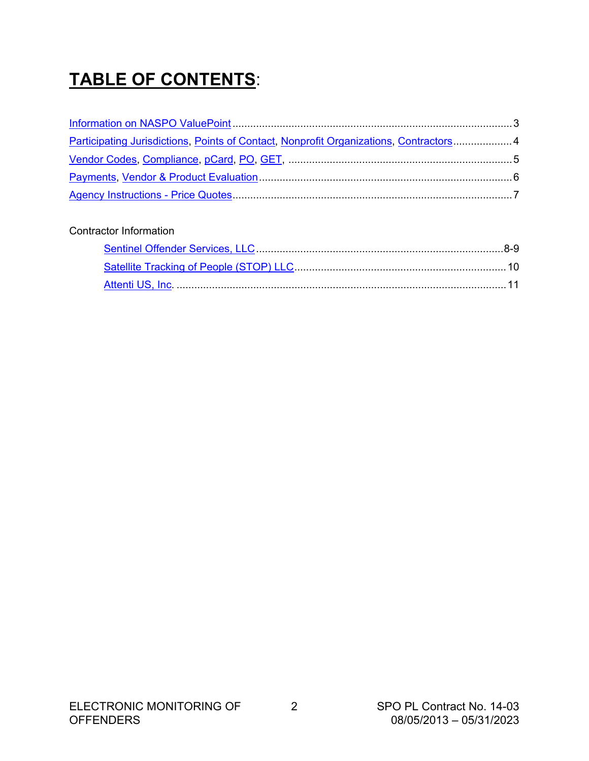# **TABLE OF CONTENTS**:

| Participating Jurisdictions, Points of Contact, Nonprofit Organizations, Contractors 4 |  |
|----------------------------------------------------------------------------------------|--|
|                                                                                        |  |
|                                                                                        |  |
|                                                                                        |  |

### Contractor Information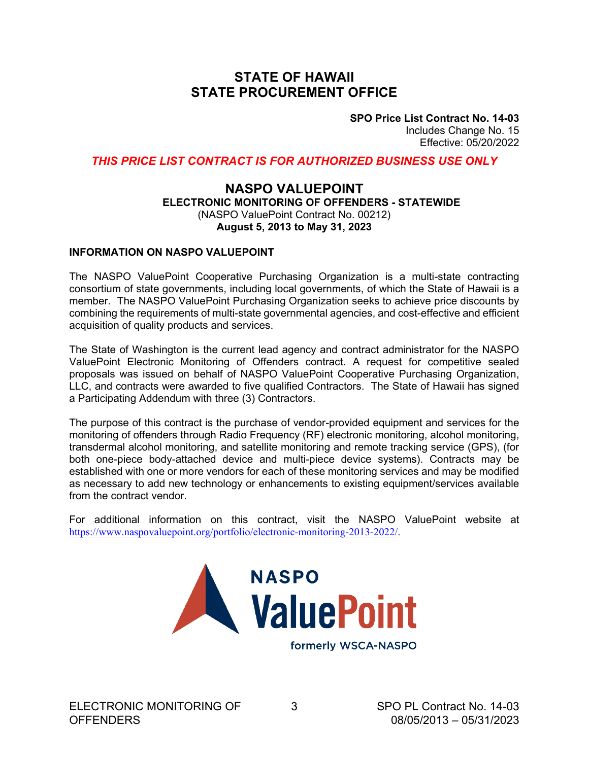### **STATE OF HAWAII STATE PROCUREMENT OFFICE**

**SPO Price List Contract No. 14-03** Includes Change No. 15 Effective: 05/20/2022

<span id="page-2-0"></span>*THIS PRICE LIST CONTRACT IS FOR AUTHORIZED BUSINESS USE ONLY*

### **NASPO VALUEPOINT ELECTRONIC MONITORING OF OFFENDERS - STATEWIDE** (NASPO ValuePoint Contract No. 00212) **August 5, 2013 to May 31, 2023**

#### **INFORMATION ON NASPO VALUEPOINT**

The NASPO ValuePoint Cooperative Purchasing Organization is a multi-state contracting consortium of state governments, including local governments, of which the State of Hawaii is a member. The NASPO ValuePoint Purchasing Organization seeks to achieve price discounts by combining the requirements of multi-state governmental agencies, and cost-effective and efficient acquisition of quality products and services.

The State of Washington is the current lead agency and contract administrator for the NASPO ValuePoint Electronic Monitoring of Offenders contract. A request for competitive sealed proposals was issued on behalf of NASPO ValuePoint Cooperative Purchasing Organization, LLC, and contracts were awarded to five qualified Contractors. The State of Hawaii has signed a Participating Addendum with three (3) Contractors.

The purpose of this contract is the purchase of vendor-provided equipment and services for the monitoring of offenders through Radio Frequency (RF) electronic monitoring, alcohol monitoring, transdermal alcohol monitoring, and satellite monitoring and remote tracking service (GPS), (for both one-piece body-attached device and multi-piece device systems). Contracts may be established with one or more vendors for each of these monitoring services and may be modified as necessary to add new technology or enhancements to existing equipment/services available from the contract vendor.

For additional information on this contract, visit the NASPO ValuePoint website at [https://www.naspovaluepoint.org/portfolio/electronic-monitoring-2013-2022/.](https://www.naspovaluepoint.org/portfolio/electronic-monitoring/)

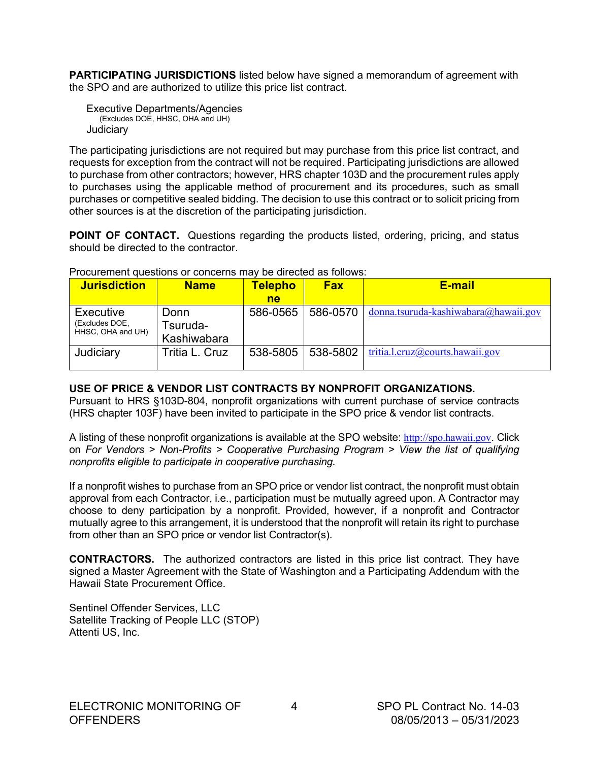<span id="page-3-0"></span>**PARTICIPATING JURISDICTIONS** listed below have signed a memorandum of agreement with the SPO and are authorized to utilize this price list contract.

Executive Departments/Agencies (Excludes DOE, HHSC, OHA and UH) **Judiciary** 

The participating jurisdictions are not required but may purchase from this price list contract, and requests for exception from the contract will not be required. Participating jurisdictions are allowed to purchase from other contractors; however, HRS chapter 103D and the procurement rules apply to purchases using the applicable method of procurement and its procedures, such as small purchases or competitive sealed bidding. The decision to use this contract or to solicit pricing from other sources is at the discretion of the participating jurisdiction.

**POINT OF CONTACT.** Questions regarding the products listed, ordering, pricing, and status should be directed to the contractor.

| <b>Jurisdiction</b> | <b>Name</b>    | <b>Telepho</b> | <b>Fax</b> | <b>E-mail</b>                        |
|---------------------|----------------|----------------|------------|--------------------------------------|
|                     |                | ne             |            |                                      |
| Executive           | Donn           | 586-0565       | 586-0570   | donna.tsuruda-kashiwabara@hawaii.gov |
| (Excludes DOE,      | Tsuruda-       |                |            |                                      |
| HHSC, OHA and UH)   | Kashiwabara    |                |            |                                      |
| Judiciary           | Tritia L. Cruz | 538-5805       | 538-5802   | tritia.l.cruz@courts.hawaii.gov      |
|                     |                |                |            |                                      |

Procurement questions or concerns may be directed as follows:

### **USE OF PRICE & VENDOR LIST CONTRACTS BY NONPROFIT ORGANIZATIONS.**

Pursuant to HRS §103D-804, nonprofit organizations with current purchase of service contracts (HRS chapter 103F) have been invited to participate in the SPO price & vendor list contracts.

A listing of these nonprofit organizations is available at the SPO website: [http://spo.hawaii.gov](http://spo.hawaii.gov/). Click on *For Vendors > Non-Profits > Cooperative Purchasing Program > View the list of qualifying nonprofits eligible to participate in cooperative purchasing.* 

If a nonprofit wishes to purchase from an SPO price or vendor list contract, the nonprofit must obtain approval from each Contractor, i.e., participation must be mutually agreed upon. A Contractor may choose to deny participation by a nonprofit. Provided, however, if a nonprofit and Contractor mutually agree to this arrangement, it is understood that the nonprofit will retain its right to purchase from other than an SPO price or vendor list Contractor(s).

**CONTRACTORS.** The authorized contractors are listed in this price list contract. They have signed a Master Agreement with the State of Washington and a Participating Addendum with the Hawaii State Procurement Office.

Sentinel Offender Services, LLC Satellite Tracking of People LLC (STOP) Attenti US, Inc.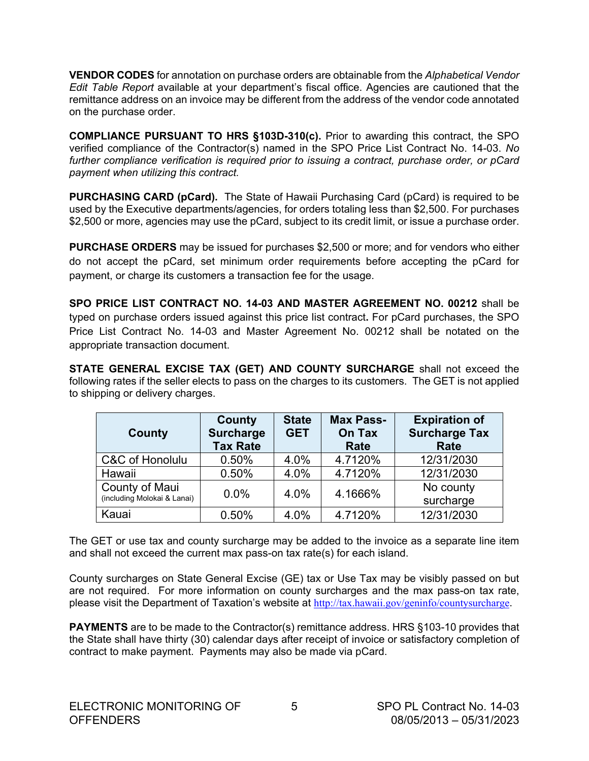<span id="page-4-0"></span>**VENDOR CODES** for annotation on purchase orders are obtainable from the *Alphabetical Vendor Edit Table Report* available at your department's fiscal office. Agencies are cautioned that the remittance address on an invoice may be different from the address of the vendor code annotated on the purchase order.

**COMPLIANCE PURSUANT TO HRS §103D-310(c).** Prior to awarding this contract, the SPO verified compliance of the Contractor(s) named in the SPO Price List Contract No. 14-03. *No further compliance verification is required prior to issuing a contract, purchase order, or pCard payment when utilizing this contract.*

**PURCHASING CARD (pCard).** The State of Hawaii Purchasing Card (pCard) is required to be used by the Executive departments/agencies, for orders totaling less than \$2,500. For purchases \$2,500 or more, agencies may use the pCard, subject to its credit limit, or issue a purchase order.

**PURCHASE ORDERS** may be issued for purchases \$2,500 or more; and for vendors who either do not accept the pCard, set minimum order requirements before accepting the pCard for payment, or charge its customers a transaction fee for the usage.

**SPO PRICE LIST CONTRACT NO. 14-03 AND MASTER AGREEMENT NO. 00212** shall be typed on purchase orders issued against this price list contract**.** For pCard purchases, the SPO Price List Contract No. 14-03 and Master Agreement No. 00212 shall be notated on the appropriate transaction document.

**STATE GENERAL EXCISE TAX (GET) AND COUNTY SURCHARGE** shall not exceed the following rates if the seller elects to pass on the charges to its customers. The GET is not applied to shipping or delivery charges.

| County                                        | County<br>Surcharge<br><b>Tax Rate</b> | <b>State</b><br><b>GET</b> | <b>Max Pass-</b><br><b>On Tax</b><br>Rate | <b>Expiration of</b><br><b>Surcharge Tax</b><br>Rate |
|-----------------------------------------------|----------------------------------------|----------------------------|-------------------------------------------|------------------------------------------------------|
| C&C of Honolulu                               | 0.50%                                  | 4.0%                       | 4.7120%                                   | 12/31/2030                                           |
| Hawaii                                        | 0.50%                                  | 4.0%                       | 4.7120%                                   | 12/31/2030                                           |
| County of Maui<br>(including Molokai & Lanai) | $0.0\%$                                | 4.0%                       | 4.1666%                                   | No county<br>surcharge                               |
| Kauai                                         | 0.50%                                  | 4.0%                       | 4.7120%                                   | 12/31/2030                                           |

The GET or use tax and county surcharge may be added to the invoice as a separate line item and shall not exceed the current max pass-on tax rate(s) for each island.

County surcharges on State General Excise (GE) tax or Use Tax may be visibly passed on but are not required. For more information on county surcharges and the max pass-on tax rate, please visit the Department of Taxation's website at <http://tax.hawaii.gov/geninfo/countysurcharge>.

**PAYMENTS** are to be made to the Contractor(s) remittance address. HRS §103-10 provides that the State shall have thirty (30) calendar days after receipt of invoice or satisfactory completion of contract to make payment. Payments may also be made via pCard.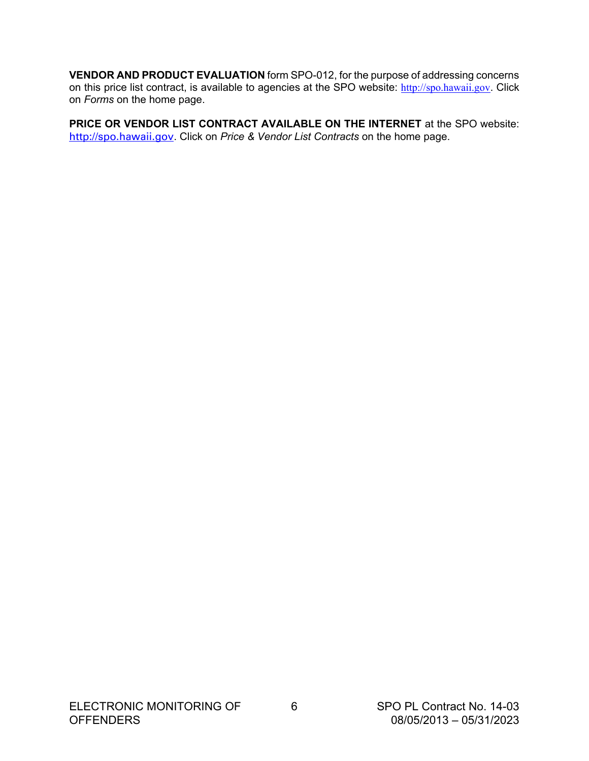<span id="page-5-0"></span>**VENDOR AND PRODUCT EVALUATION** form SPO-012, for the purpose of addressing concerns on this price list contract, is available to agencies at the SPO website: [http://spo.hawaii.gov](http://spo.hawaii.gov/). Click on *Forms* on the home page.

**PRICE OR VENDOR LIST CONTRACT AVAILABLE ON THE INTERNET** at the SPO website: [http://spo.hawaii.gov](http://spo.hawaii.gov/). Click on *Price & Vendor List Contracts* on the home page.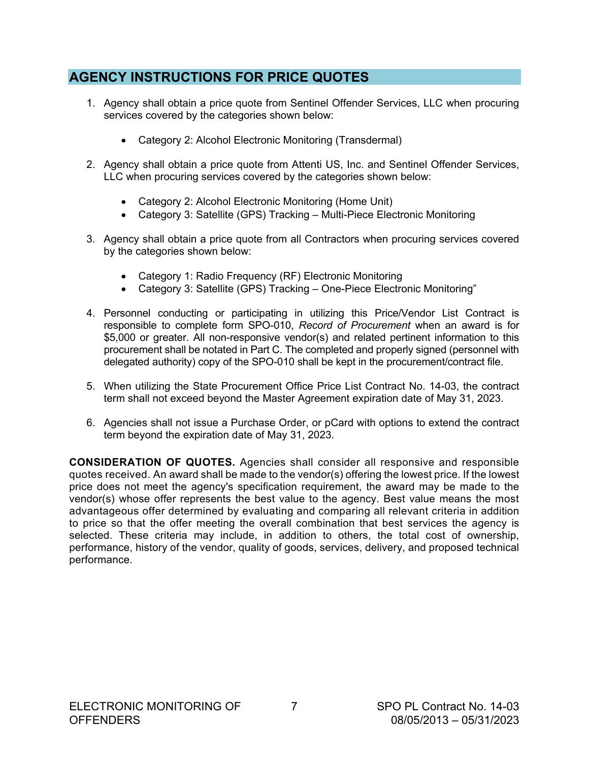### <span id="page-6-0"></span>**AGENCY INSTRUCTIONS FOR PRICE QUOTES**

- 1. Agency shall obtain a price quote from Sentinel Offender Services, LLC when procuring services covered by the categories shown below:
	- Category 2: Alcohol Electronic Monitoring (Transdermal)
- 2. Agency shall obtain a price quote from Attenti US, Inc. and Sentinel Offender Services, LLC when procuring services covered by the categories shown below:
	- Category 2: Alcohol Electronic Monitoring (Home Unit)
	- Category 3: Satellite (GPS) Tracking Multi-Piece Electronic Monitoring
- 3. Agency shall obtain a price quote from all Contractors when procuring services covered by the categories shown below:
	- Category 1: Radio Frequency (RF) Electronic Monitoring
	- Category 3: Satellite (GPS) Tracking One-Piece Electronic Monitoring"
- 4. Personnel conducting or participating in utilizing this Price/Vendor List Contract is responsible to complete form SPO-010, *Record of Procurement* when an award is for \$5,000 or greater. All non-responsive vendor(s) and related pertinent information to this procurement shall be notated in Part C. The completed and properly signed (personnel with delegated authority) copy of the SPO-010 shall be kept in the procurement/contract file.
- 5. When utilizing the State Procurement Office Price List Contract No. 14-03, the contract term shall not exceed beyond the Master Agreement expiration date of May 31, 2023.
- 6. Agencies shall not issue a Purchase Order, or pCard with options to extend the contract term beyond the expiration date of May 31, 2023.

**CONSIDERATION OF QUOTES.** Agencies shall consider all responsive and responsible quotes received. An award shall be made to the vendor(s) offering the lowest price. If the lowest price does not meet the agency's specification requirement, the award may be made to the vendor(s) whose offer represents the best value to the agency. Best value means the most advantageous offer determined by evaluating and comparing all relevant criteria in addition to price so that the offer meeting the overall combination that best services the agency is selected. These criteria may include, in addition to others, the total cost of ownership, performance, history of the vendor, quality of goods, services, delivery, and proposed technical performance.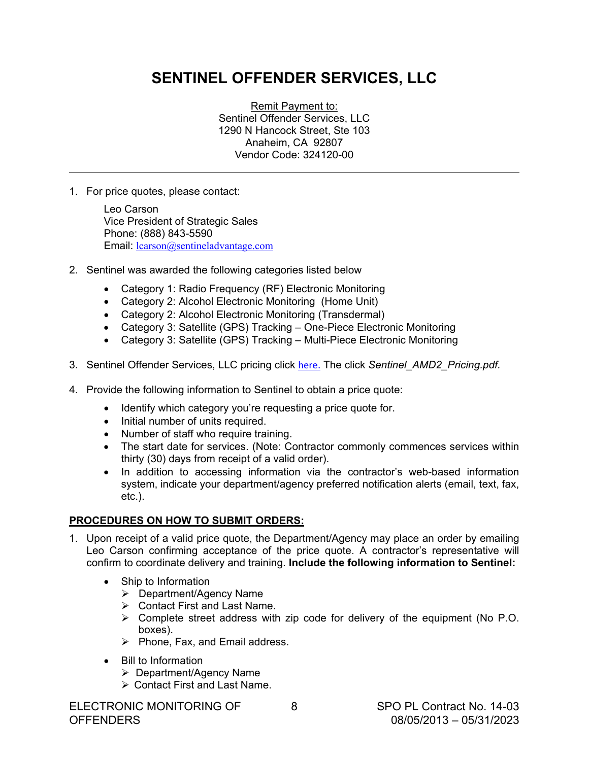# **SENTINEL OFFENDER SERVICES, LLC**

Remit Payment to: Sentinel Offender Services, LLC 1290 N Hancock Street, Ste 103 Anaheim, CA 92807 Vendor Code: 324120-00

1. For price quotes, please contact:

 $\overline{\phantom{a}}$ 

Leo Carson Vice President of Strategic Sales Phone: (888) 843-5590 Email: [lcarson@sentineladvantage.com](mailto:lcarson@sentineladvantage.com)

- 2. Sentinel was awarded the following categories listed below
	- Category 1: Radio Frequency (RF) Electronic Monitoring
	- Category 2: Alcohol Electronic Monitoring (Home Unit)
	- Category 2: Alcohol Electronic Monitoring (Transdermal)
	- Category 3: Satellite (GPS) Tracking One-Piece Electronic Monitoring
	- Category 3: Satellite (GPS) Tracking Multi-Piece Electronic Monitoring
- 3. Sentinel Offender Services, LLC pricing click [here.](https://s3-us-west-2.amazonaws.com/wsca-uploads/1456862444_Sentinel_AMD2_Pricing.pdf) The click *Sentinel\_AMD2\_Pricing.pdf.*
- 4. Provide the following information to Sentinel to obtain a price quote:
	- Identify which category you're requesting a price quote for.
	- Initial number of units required.
	- Number of staff who require training.
	- The start date for services. (Note: Contractor commonly commences services within thirty (30) days from receipt of a valid order).
	- In addition to accessing information via the contractor's web-based information system, indicate your department/agency preferred notification alerts (email, text, fax, etc.).

### **PROCEDURES ON HOW TO SUBMIT ORDERS:**

- 1. Upon receipt of a valid price quote, the Department/Agency may place an order by emailing Leo Carson confirming acceptance of the price quote. A contractor's representative will confirm to coordinate delivery and training. **Include the following information to Sentinel:**
	- Ship to Information
		- Department/Agency Name
		- Contact First and Last Name.
		- $\triangleright$  Complete street address with zip code for delivery of the equipment (No P.O. boxes).
		- $\triangleright$  Phone, Fax, and Email address.
	- Bill to Information
		- Department/Agency Name
		- Contact First and Last Name.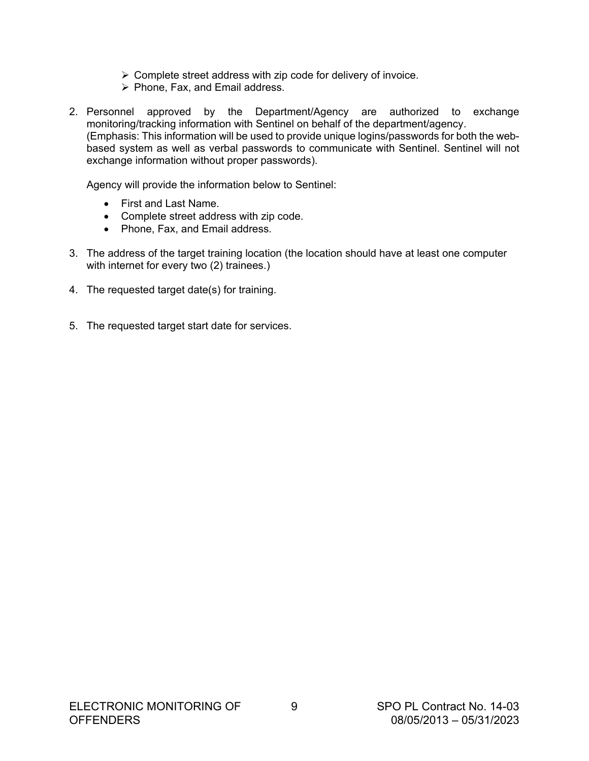- $\triangleright$  Complete street address with zip code for delivery of invoice.
- $\triangleright$  Phone, Fax, and Email address.
- 2. Personnel approved by the Department/Agency are authorized to exchange monitoring/tracking information with Sentinel on behalf of the department/agency. (Emphasis: This information will be used to provide unique logins/passwords for both the webbased system as well as verbal passwords to communicate with Sentinel. Sentinel will not exchange information without proper passwords).

Agency will provide the information below to Sentinel:

- First and Last Name.
- Complete street address with zip code.
- Phone, Fax, and Email address.
- 3. The address of the target training location (the location should have at least one computer with internet for every two (2) trainees.)
- 4. The requested target date(s) for training.
- 5. The requested target start date for services.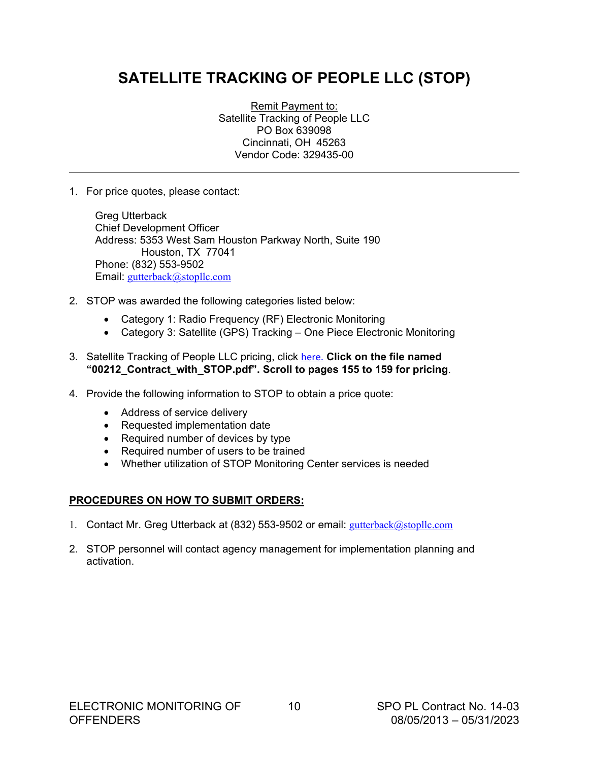# <span id="page-9-0"></span>**SATELLITE TRACKING OF PEOPLE LLC (STOP)**

Remit Payment to: Satellite Tracking of People LLC PO Box 639098 Cincinnati, OH 45263 Vendor Code: 329435-00

1. For price quotes, please contact:

 $\overline{\phantom{a}}$ 

Greg Utterback Chief Development Officer Address: 5353 West Sam Houston Parkway North, Suite 190 Houston, TX 77041 Phone: (832) 553-9502 Email: [gutterback@stopllc.com](mailto:gutterback@stopllc.com)

- 2. STOP was awarded the following categories listed below:
	- Category 1: Radio Frequency (RF) Electronic Monitoring
	- Category 3: Satellite (GPS) Tracking One Piece Electronic Monitoring
- 3. Satellite Tracking of People LLC pricing, click [here.](https://s3-us-west-2.amazonaws.com/wsca-uploads/1427984490_00212_Contract_with_STOP.pdf) **Click on the file named "00212\_Contract\_with\_STOP.pdf". Scroll to pages 155 to 159 for pricing**.
- 4. Provide the following information to STOP to obtain a price quote:
	- Address of service delivery
	- Requested implementation date
	- Required number of devices by type
	- Required number of users to be trained
	- Whether utilization of STOP Monitoring Center services is needed

### **PROCEDURES ON HOW TO SUBMIT ORDERS:**

- 1. Contact Mr. Greg Utterback at (832) 553-9502 or email: [gutterback@stopllc.com](mailto:gutterback@stopllc.com)
- 2. STOP personnel will contact agency management for implementation planning and activation.